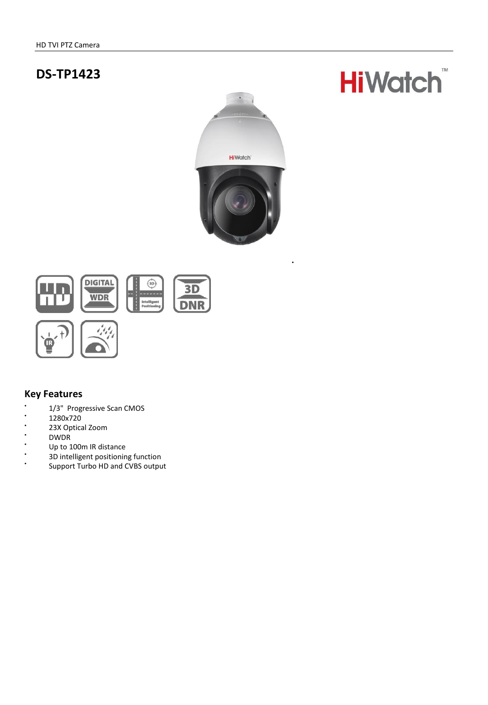# **DS-TP1423**



.



### **Key Features**

- $\ddot{\phantom{0}}$ 1/3" Progressive Scan CMOS
- . 1280x720
- $\overline{a}$ 23X Optical Zoom
- .<br>DWDR<br>United
- Up to 100m IR distance
- $\cdot$ 3D intelligent positioning function
- $\ddot{\phantom{0}}$ Support Turbo HD and CVBS output

# TM **HiWatch**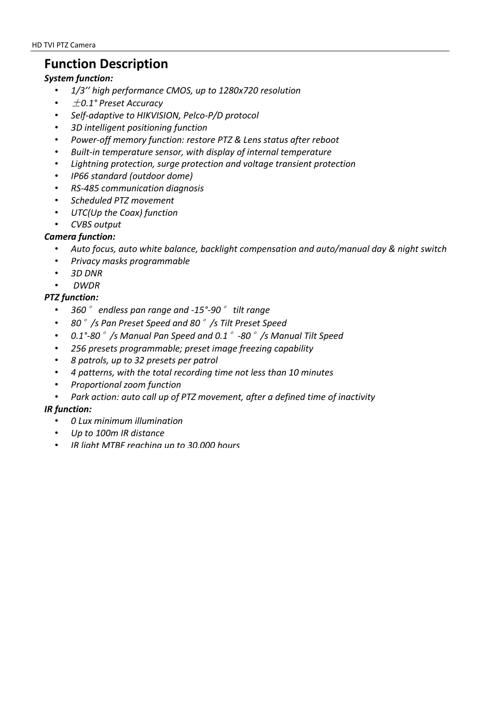# **Function Description**

#### *System function:*

- *1/3'' high performance CMOS, up to 1280x720 resolution*
- ±*0.1° Preset Accuracy*
- *Self-adaptive to HIKVISION, Pelco-P/D protocol*
- *3D intelligent positioning function*
- *Power-off memory function: restore PTZ & Lens status after reboot*
- *Built-in temperature sensor, with display of internal temperature*
- *Lightning protection, surge protection and voltage transient protection*
- *IP66 standard (outdoor dome)*
- *RS-485 communication diagnosis*
- *Scheduled PTZ movement*
- *UTC(Up the Coax) function*
- *CVBS output*

### *Camera function:*

- *Auto focus, auto white balance, backlight compensation and auto/manual day & night switch*
- *Privacy masks programmable*
- *3D DNR*
- *DWDR*

### *PTZ function:*

- *360*° *endless pan range and -15°-90*° *tilt range*
- *80*°*/s Pan Preset Speed and 80*°*/s Tilt Preset Speed*
- *0.1°-80*°*/s Manual Pan Speed and 0.1*°*-80*°*/s Manual Tilt Speed*
- *256 presets programmable; preset image freezing capability*
- *8 patrols, up to 32 presets per patrol*
- *4 patterns, with the total recording time not less than 10 minutes*
- *Proportional zoom function*
- *Park action: auto call up of PTZ movement, after a defined time of inactivity*

#### *IR function:*

- *0 Lux minimum illumination*
- *Up to 100m IR distance*
- *IR light MTBF reaching up to 30,000 hours*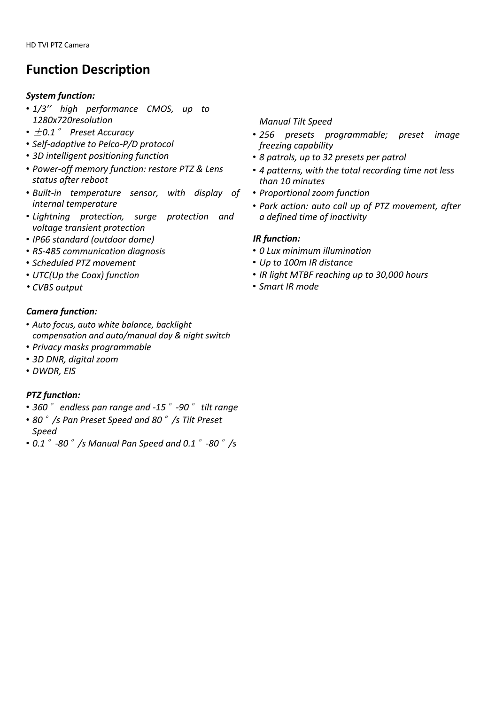# **Function Description**

#### *System function:*

- *1/3'' high performance CMOS, up to 1280x720resolution*
- ±*0.1*° *Preset Accuracy*
- *Self-adaptive to Pelco-P/D protocol*
- *3D intelligent positioning function*
- *Power-off memory function: restore PTZ & Lens status after reboot*
- *Built-in temperature sensor, with display of internal temperature*
- *Lightning protection, surge protection and voltage transient protection*
- *IP66 standard (outdoor dome)*
- *RS-485 communication diagnosis*
- *Scheduled PTZ movement*
- *UTC(Up the Coax) function*
- *CVBS output*

#### *Camera function:*

- *Auto focus, auto white balance, backlight compensation and auto/manual day & night switch*
- *Privacy masks programmable*
- *3D DNR, digital zoom*
- *DWDR, EIS*

#### *PTZ function:*

- *360*° *endless pan range and -15*°*-90*° *tilt range*
- *80*°*/s Pan Preset Speed and 80*°*/s Tilt Preset Speed*
- *0.1*°*-80*°*/s Manual Pan Speed and 0.1*°*-80*°*/s*

*Manual Tilt Speed*

- *256 presets programmable; preset image freezing capability*
- *8 patrols, up to 32 presets per patrol*
- *4 patterns, with the total recording time not less than 10 minutes*
- *Proportional zoom function*
- *Park action: auto call up of PTZ movement, after a defined time of inactivity*

#### *IR function:*

- *0 Lux minimum illumination*
- *Up to 100m IR distance*
- *IR light MTBF reaching up to 30,000 hours*
- *Smart IR mode*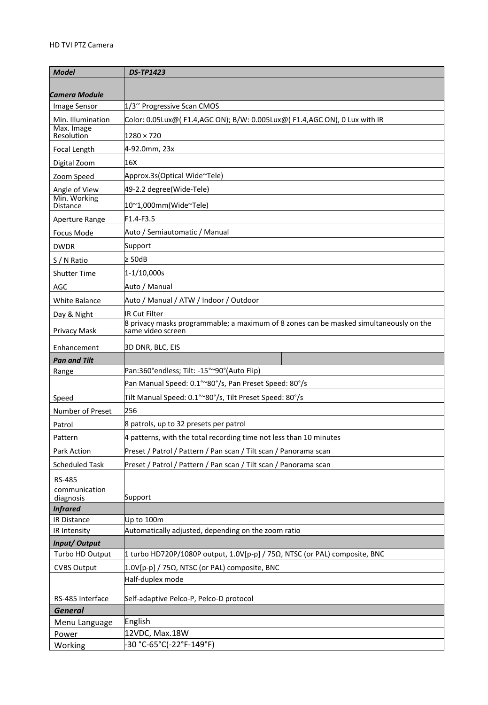| <b>Model</b>                    | <b>DS-TP1423</b>                                                                       |
|---------------------------------|----------------------------------------------------------------------------------------|
|                                 |                                                                                        |
| Camera Module                   |                                                                                        |
| Image Sensor                    | 1/3" Progressive Scan CMOS                                                             |
| Min. Illumination<br>Max. Image | Color: 0.05Lux@( F1.4,AGC ON);        B/W: 0.005Lux@( F1.4,AGC ON), 0 Lux with IR      |
| Resolution                      | 1280 × 720                                                                             |
| Focal Length                    | 4-92.0mm, 23x                                                                          |
| Digital Zoom                    | 16X                                                                                    |
| Zoom Speed                      | Approx.3s(Optical Wide~Tele)                                                           |
| Angle of View                   | 49-2.2 degree(Wide-Tele)                                                               |
| Min. Working<br>Distance        | 10~1,000mm(Wide~Tele)                                                                  |
| Aperture Range                  | F1.4-F3.5                                                                              |
| Focus Mode                      | Auto / Semiautomatic / Manual                                                          |
| <b>DWDR</b>                     | Support                                                                                |
| S / N Ratio                     | $\geq 50dB$                                                                            |
| <b>Shutter Time</b>             | $1 - 1/10,000s$                                                                        |
| AGC                             | Auto / Manual                                                                          |
| White Balance                   | Auto / Manual / ATW / Indoor / Outdoor                                                 |
|                                 | IR Cut Filter                                                                          |
| Day & Night                     | 8 privacy masks programmable; a maximum of 8 zones can be masked simultaneously on the |
| <b>Privacy Mask</b>             | same video screen                                                                      |
| Enhancement                     | 3D DNR, BLC, EIS                                                                       |
| <b>Pan and Tilt</b>             |                                                                                        |
| Range                           | Pan:360°endless; Tilt: -15°~90°(Auto Flip)                                             |
|                                 | Pan Manual Speed: 0.1°~80°/s, Pan Preset Speed: 80°/s                                  |
| Speed                           | Tilt Manual Speed: 0.1°~80°/s, Tilt Preset Speed: 80°/s                                |
| Number of Preset                | 256                                                                                    |
| Patrol                          | 8 patrols, up to 32 presets per patrol                                                 |
| Pattern                         | 4 patterns, with the total recording time not less than 10 minutes                     |
| Park Action                     | Preset / Patrol / Pattern / Pan scan / Tilt scan / Panorama scan                       |
| <b>Scheduled Task</b>           | Preset / Patrol / Pattern / Pan scan / Tilt scan / Panorama scan                       |
| <b>RS-485</b>                   |                                                                                        |
| communication                   |                                                                                        |
| diagnosis<br><b>Infrared</b>    | Support                                                                                |
| IR Distance                     | Up to 100m                                                                             |
| IR Intensity                    | Automatically adjusted, depending on the zoom ratio                                    |
| Input/Output                    |                                                                                        |
| Turbo HD Output                 | 1 turbo HD720P/1080P output, 1.0V[p-p] / 75 $\Omega$ , NTSC (or PAL) composite, BNC    |
| <b>CVBS Output</b>              | 1.0V[p-p] / 75Ω, NTSC (or PAL) composite, BNC                                          |
|                                 | Half-duplex mode                                                                       |
| RS-485 Interface                | Self-adaptive Pelco-P, Pelco-D protocol                                                |
| <b>General</b>                  |                                                                                        |
| Menu Language                   | English                                                                                |
| Power                           | 12VDC, Max.18W                                                                         |
| Working                         | -30 °C-65°C(-22°F-149°F)                                                               |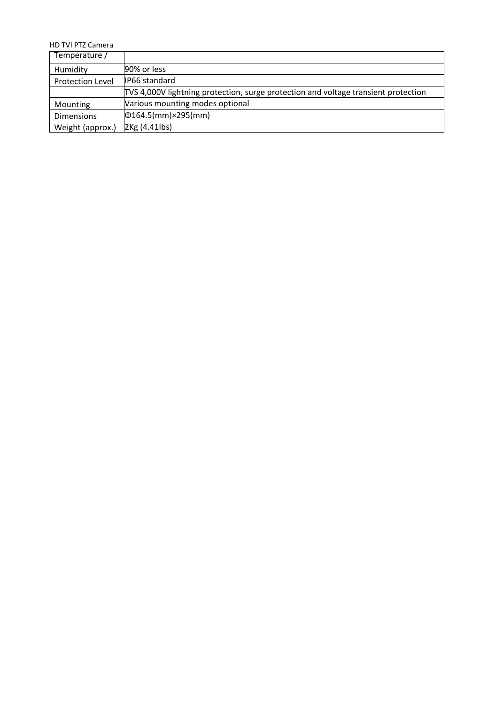HD TVI PTZ Camera

| Temperature /           |                                                                                    |
|-------------------------|------------------------------------------------------------------------------------|
| Humidity                | 90% or less                                                                        |
| <b>Protection Level</b> | IP66 standard                                                                      |
|                         | TVS 4,000V lightning protection, surge protection and voltage transient protection |
| Mounting                | Various mounting modes optional                                                    |
| <b>Dimensions</b>       | $\Phi$ 164.5(mm)×295(mm)                                                           |
| Weight (approx.)        | 2Kg (4.41lbs)                                                                      |